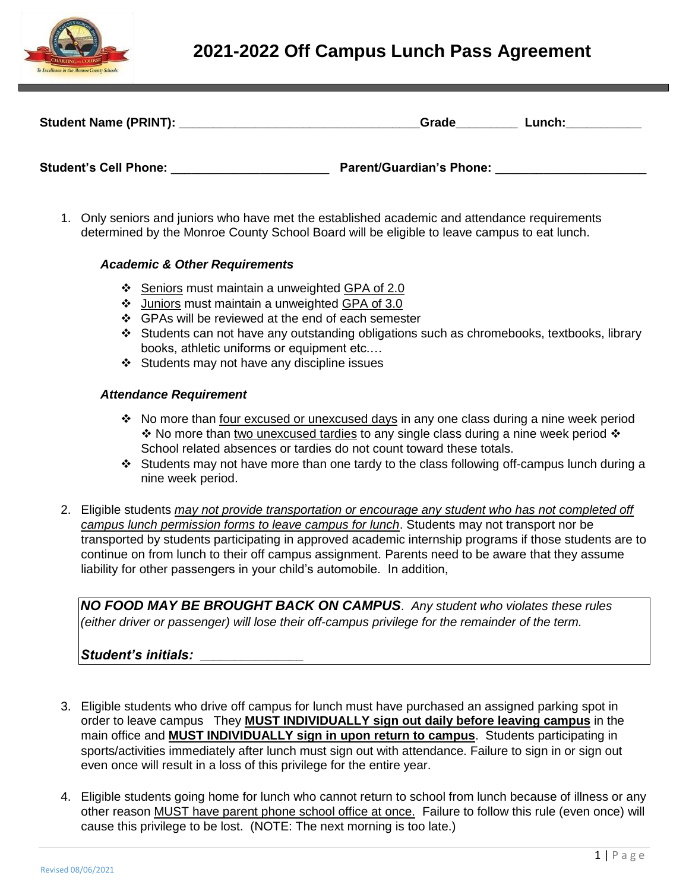

# **2021-2022 Off Campus Lunch Pass Agreement**

|                              | Grade                           | Lunch: |
|------------------------------|---------------------------------|--------|
| <b>Student's Cell Phone:</b> | <b>Parent/Guardian's Phone:</b> |        |

1. Only seniors and juniors who have met the established academic and attendance requirements determined by the Monroe County School Board will be eligible to leave campus to eat lunch.

### *Academic & Other Requirements*

- Seniors must maintain a unweighted GPA of 2.0
- $\div$  Juniors must maintain a unweighted GPA of 3.0
- $\div$  GPAs will be reviewed at the end of each semester
- Students can not have any outstanding obligations such as chromebooks, textbooks, library books, athletic uniforms or equipment etc.…
- $\div$  Students may not have any discipline issues

#### *Attendance Requirement*

- **Ex** No more than four excused or unexcused days in any one class during a nine week period  $\cdot$  No more than two unexcused tardies to any single class during a nine week period  $\cdot$ School related absences or tardies do not count toward these totals.
- Students may not have more than one tardy to the class following off-campus lunch during a nine week period.
- 2. Eligible students *may not provide transportation or encourage any student who has not completed off campus lunch permission forms to leave campus for lunch*. Students may not transport nor be transported by students participating in approved academic internship programs if those students are to continue on from lunch to their off campus assignment. Parents need to be aware that they assume liability for other passengers in your child's automobile. In addition,

*NO FOOD MAY BE BROUGHT BACK ON CAMPUS*. *Any student who violates these rules (either driver or passenger) will lose their off-campus privilege for the remainder of the term.*

## *Student's initials:* **\_\_\_\_\_\_\_\_\_\_\_\_\_\_\_**

- 3. Eligible students who drive off campus for lunch must have purchased an assigned parking spot in order to leave campus They **MUST INDIVIDUALLY sign out daily before leaving campus** in the main office and **MUST INDIVIDUALLY sign in upon return to campus**. Students participating in sports/activities immediately after lunch must sign out with attendance. Failure to sign in or sign out even once will result in a loss of this privilege for the entire year.
- 4. Eligible students going home for lunch who cannot return to school from lunch because of illness or any other reason MUST have parent phone school office at once. Failure to follow this rule (even once) will cause this privilege to be lost. (NOTE: The next morning is too late.)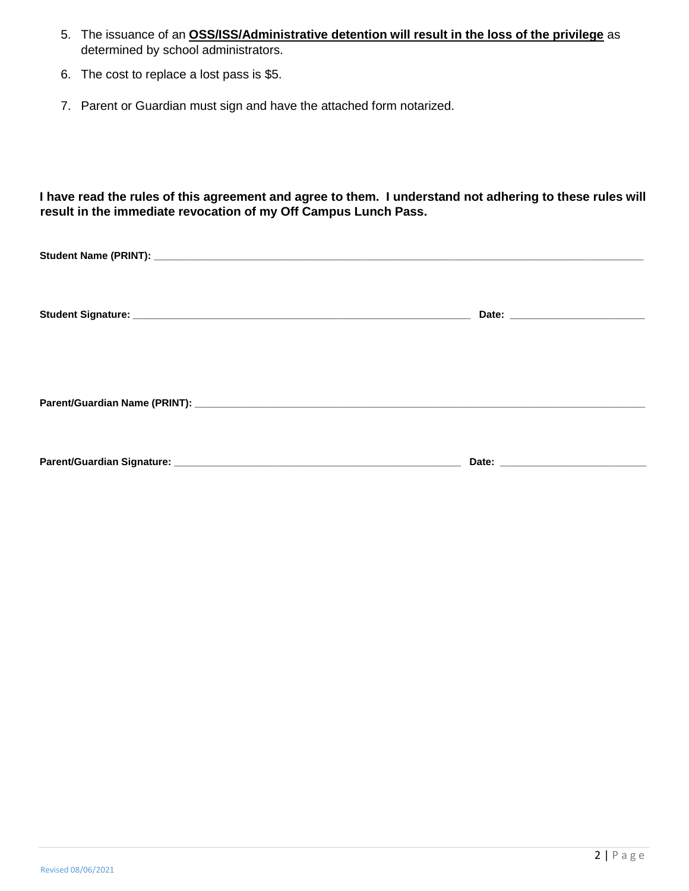- 5. The issuance of an **OSS/ISS/Administrative detention will result in the loss of the privilege** as determined by school administrators.
- 6. The cost to replace a lost pass is \$5.
- 7. Parent or Guardian must sign and have the attached form notarized.

**I have read the rules of this agreement and agree to them. I understand not adhering to these rules will result in the immediate revocation of my Off Campus Lunch Pass.**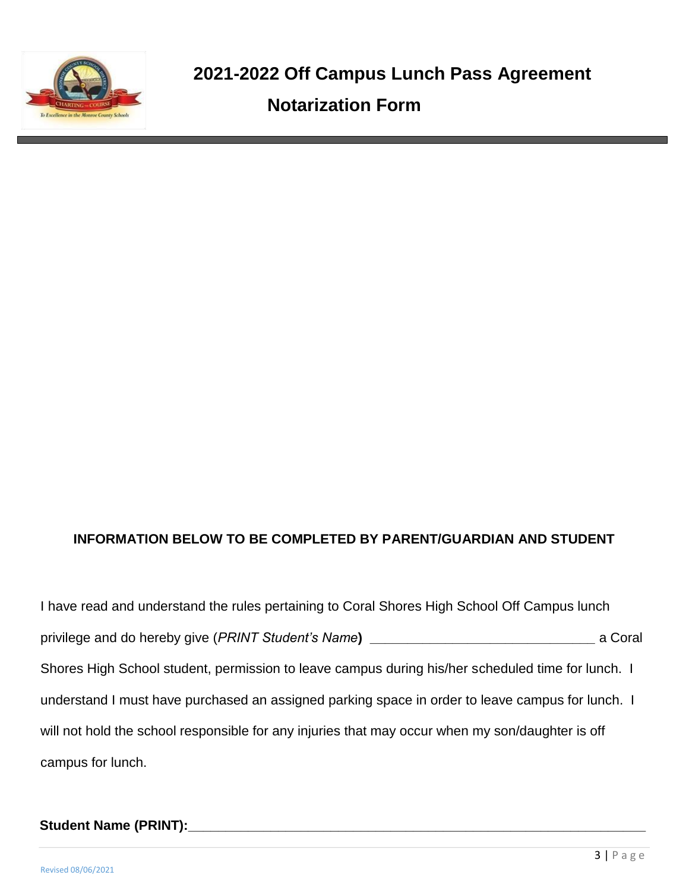

# **INFORMATION BELOW TO BE COMPLETED BY PARENT/GUARDIAN AND STUDENT**

I have read and understand the rules pertaining to Coral Shores High School Off Campus lunch privilege and do hereby give (*PRINT Student's Name***) \_\_\_\_\_\_\_\_\_\_\_\_\_\_\_\_\_\_\_\_\_\_\_\_\_\_\_\_\_\_** a Coral Shores High School student, permission to leave campus during his/her scheduled time for lunch. I understand I must have purchased an assigned parking space in order to leave campus for lunch. I will not hold the school responsible for any injuries that may occur when my son/daughter is off campus for lunch.

## **Student Name (PRINT):\_\_\_\_\_\_\_\_\_\_\_\_\_\_\_\_\_\_\_\_\_\_\_\_\_\_\_\_\_\_\_\_\_\_\_\_\_\_\_\_\_\_\_\_\_\_\_\_\_\_\_\_\_\_\_\_\_\_\_\_\_**